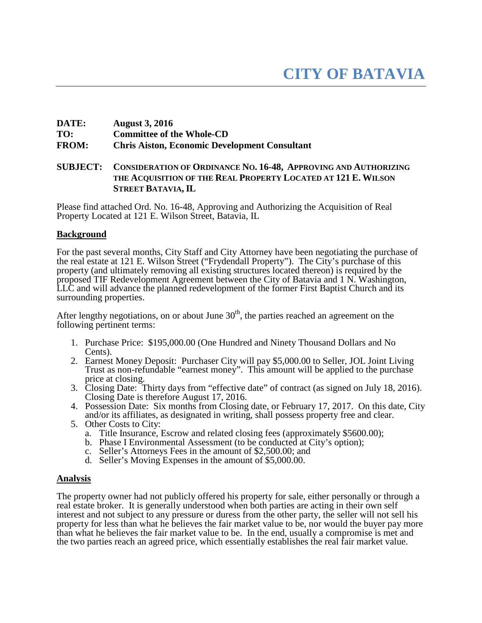# **CITY OF BATAVIA**

## **DATE: August 3, 2016 TO: Committee of the Whole-CD FROM: Chris Aiston, Economic Development Consultant**

### **SUBJECT: CONSIDERATION OF ORDINANCE NO. 16-48, APPROVING AND AUTHORIZING THE ACQUISITION OF THE REAL PROPERTY LOCATED AT 121 E. WILSON STREET BATAVIA, IL**

Please find attached Ord. No. 16-48, Approving and Authorizing the Acquisition of Real Property Located at 121 E. Wilson Street, Batavia, IL

### **Background**

For the past several months, City Staff and City Attorney have been negotiating the purchase of the real estate at 121 E. Wilson Street ("Frydendall Property"). The City's purchase of this property (and ultimately removing all existing structures located thereon) is required by the proposed TIF Redevelopment Agreement between the City of Batavia and 1 N. Washington, LLC and will advance the planned redevelopment of the former First Baptist Church and its surrounding properties.

After lengthy negotiations, on or about June  $30<sup>th</sup>$ , the parties reached an agreement on the following pertinent terms:

- 1. Purchase Price: \$195,000.00 (One Hundred and Ninety Thousand Dollars and No Cents).
- 2. Earnest Money Deposit: Purchaser City will pay \$5,000.00 to Seller, JOL Joint Living Trust as non-refundable "earnest money". This amount will be applied to the purchase price at closing.
- 3. Closing Date: Thirty days from "effective date" of contract (as signed on July 18, 2016). Closing Date is therefore August 17, 2016.
- 4. Possession Date: Six months from Closing date, or February 17, 2017. On this date, City and/or its affiliates, as designated in writing, shall possess property free and clear.
- 5. Other Costs to City:
	- a. Title Insurance, Escrow and related closing fees (approximately \$5600.00);
	- b. Phase I Environmental Assessment (to be conducted at City's option);
	- c. Seller's Attorneys Fees in the amount of \$2,500.00; and
	- d. Seller's Moving Expenses in the amount of \$5,000.00.

### **Analysis**

The property owner had not publicly offered his property for sale, either personally or through a real estate broker. It is generally understood when both parties are acting in their own self interest and not subject to any pressure or duress from the other party, the seller will not sell his property for less than what he believes the fair market value to be, nor would the buyer pay more than what he believes the fair market value to be. In the end, usually a compromise is met and the two parties reach an agreed price, which essentially establishes the real fair market value.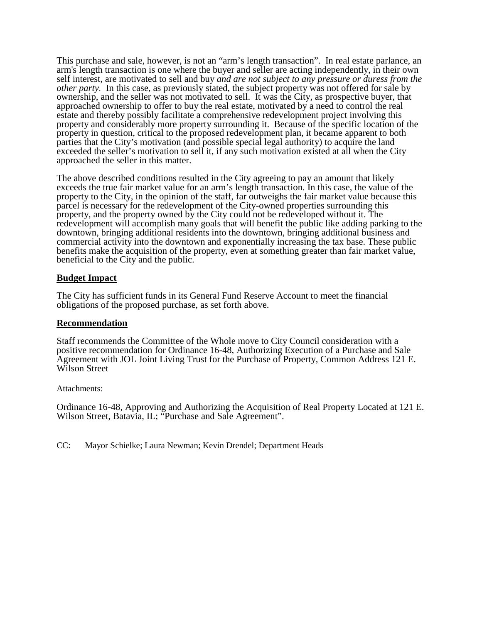This purchase and sale, however, is not an "arm's length transaction". In real estate parlance, an arm's length transaction is one where the buyer and seller are acting independently, in their own self interest, are motivated to sell and buy *and are not subject to any pressure or duress from the other party.* In this case, as previously stated, the subject property was not offered for sale by ownership, and the seller was not motivated to sell. It was the City, as prospective buyer, that approached ownership to offer to buy the real estate, motivated by a need to control the real estate and thereby possibly facilitate a comprehensive redevelopment project involving this property and considerably more property surrounding it. Because of the specific location of the property in question, critical to the proposed redevelopment plan, it became apparent to both parties that the City's motivation (and possible special legal authority) to acquire the land exceeded the seller's motivation to sell it, if any such motivation existed at all when the City approached the seller in this matter.

The above described conditions resulted in the City agreeing to pay an amount that likely exceeds the true fair market value for an arm's length transaction. In this case, the value of the property to the City, in the opinion of the staff, far outweighs the fair market value because this parcel is necessary for the redevelopment of the City-owned properties surrounding this property, and the property owned by the City could not be redeveloped without it. The redevelopment will accomplish many goals that will benefit the public like adding parking to the downtown, bringing additional residents into the downtown, bringing additional business and commercial activity into the downtown and exponentially increasing the tax base. These public benefits make the acquisition of the property, even at something greater than fair market value, beneficial to the City and the public.

### **Budget Impact**

The City has sufficient funds in its General Fund Reserve Account to meet the financial obligations of the proposed purchase, as set forth above.

### **Recommendation**

Staff recommends the Committee of the Whole move to City Council consideration with a positive recommendation for Ordinance 16-48, Authorizing Execution of a Purchase and Sale Agreement with JOL Joint Living Trust for the Purchase of Property, Common Address 121 E. Wilson Street

### Attachments:

Ordinance 16-48, Approving and Authorizing the Acquisition of Real Property Located at 121 E. Wilson Street, Batavia, IL; "Purchase and Sale Agreement".

CC: Mayor Schielke; Laura Newman; Kevin Drendel; Department Heads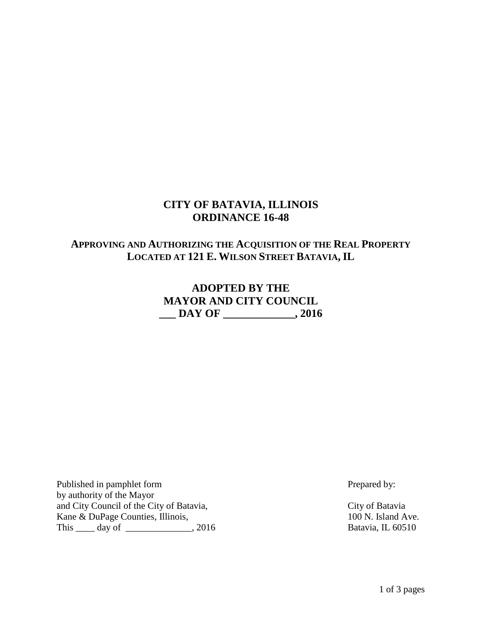# **CITY OF BATAVIA, ILLINOIS ORDINANCE 16-48**

# **APPROVING AND AUTHORIZING THE ACQUISITION OF THE REAL PROPERTY LOCATED AT 121 E. WILSON STREET BATAVIA,IL**

# **ADOPTED BY THE MAYOR AND CITY COUNCIL \_\_\_ DAY OF \_\_\_\_\_\_\_\_\_\_\_\_\_, 2016**

Published in pamphlet form Prepared by: by authority of the Mayor and City Council of the City of Batavia,<br>
Kane & DuPage Counties, Illinois,<br>
100 N. Island Ave. Kane & DuPage Counties, Illinois, This \_\_\_\_ day of \_\_\_\_\_\_\_\_\_\_\_\_, 2016 Batavia, IL 60510

1 of 3 pages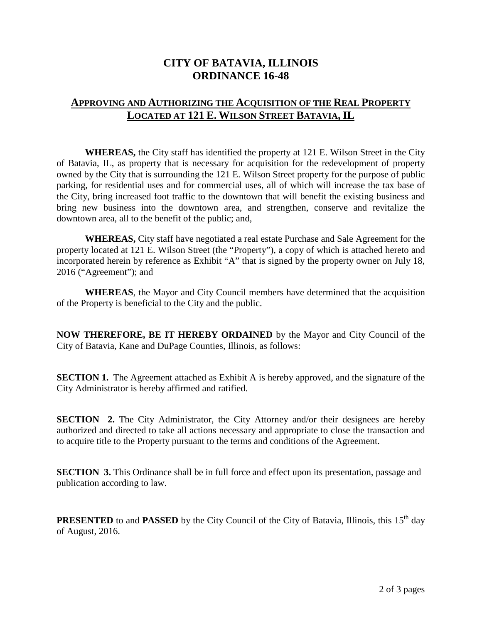# **CITY OF BATAVIA, ILLINOIS ORDINANCE 16-48**

# **APPROVING AND AUTHORIZING THE ACQUISITION OF THE REAL PROPERTY LOCATED AT 121 E. WILSON STREET BATAVIA, IL**

**WHEREAS,** the City staff has identified the property at 121 E. Wilson Street in the City of Batavia, IL, as property that is necessary for acquisition for the redevelopment of property owned by the City that is surrounding the 121 E. Wilson Street property for the purpose of public parking, for residential uses and for commercial uses, all of which will increase the tax base of the City, bring increased foot traffic to the downtown that will benefit the existing business and bring new business into the downtown area, and strengthen, conserve and revitalize the downtown area, all to the benefit of the public; and,

**WHEREAS,** City staff have negotiated a real estate Purchase and Sale Agreement for the property located at 121 E. Wilson Street (the "Property"), a copy of which is attached hereto and incorporated herein by reference as Exhibit "A" that is signed by the property owner on July 18, 2016 ("Agreement"); and

**WHEREAS**, the Mayor and City Council members have determined that the acquisition of the Property is beneficial to the City and the public.

**NOW THEREFORE, BE IT HEREBY ORDAINED** by the Mayor and City Council of the City of Batavia, Kane and DuPage Counties, Illinois, as follows:

**SECTION 1.** The Agreement attached as Exhibit A is hereby approved, and the signature of the City Administrator is hereby affirmed and ratified.

**SECTION** 2. The City Administrator, the City Attorney and/or their designees are hereby authorized and directed to take all actions necessary and appropriate to close the transaction and to acquire title to the Property pursuant to the terms and conditions of the Agreement.

**SECTION 3.** This Ordinance shall be in full force and effect upon its presentation, passage and publication according to law.

**PRESENTED** to and **PASSED** by the City Council of the City of Batavia, Illinois, this 15<sup>th</sup> day of August, 2016.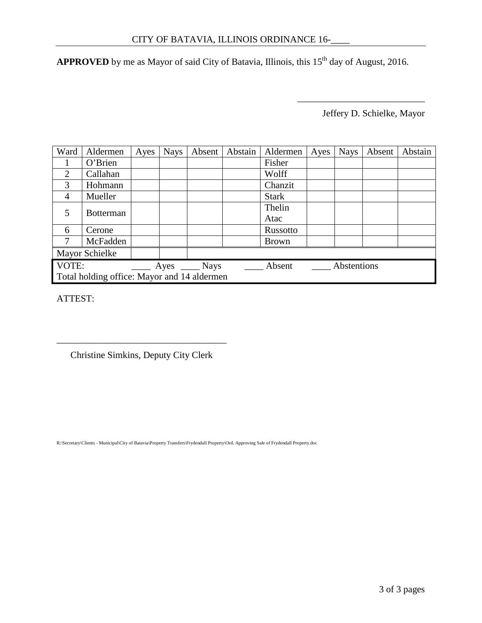APPROVED by me as Mayor of said City of Batavia, Illinois, this 15<sup>th</sup> day of August, 2016.

Jeffery D. Schielke, Mayor

\_\_\_\_\_\_\_\_\_\_\_\_\_\_\_\_\_\_\_\_\_\_\_\_\_\_\_

| Ward                                        | Aldermen         | Ayes | <b>Nays</b>                                | Absent | Abstain | Aldermen     | Ayes | <b>Nays</b> | Absent | Abstain |
|---------------------------------------------|------------------|------|--------------------------------------------|--------|---------|--------------|------|-------------|--------|---------|
|                                             | O'Brien          |      |                                            |        |         | Fisher       |      |             |        |         |
| 2                                           | Callahan         |      |                                            |        |         | Wolff        |      |             |        |         |
| 3                                           | Hohmann          |      |                                            |        |         | Chanzit      |      |             |        |         |
| $\overline{4}$                              | Mueller          |      |                                            |        |         | <b>Stark</b> |      |             |        |         |
|                                             | <b>Botterman</b> |      |                                            |        |         | Thelin       |      |             |        |         |
|                                             |                  |      |                                            |        |         | Atac         |      |             |        |         |
| 6                                           | Cerone           |      |                                            |        |         | Russotto     |      |             |        |         |
|                                             | McFadden         |      |                                            |        |         | <b>Brown</b> |      |             |        |         |
| Mayor Schielke                              |                  |      |                                            |        |         |              |      |             |        |         |
| VOTE:                                       |                  |      | Abstentions<br>Ayes _______ Nays<br>Absent |        |         |              |      |             |        |         |
| Total holding office: Mayor and 14 aldermen |                  |      |                                            |        |         |              |      |             |        |         |

ATTEST:

\_\_\_\_\_\_\_\_\_\_\_\_\_\_\_\_\_\_\_\_\_\_\_\_\_\_\_\_\_\_\_\_\_\_\_\_ Christine Simkins, Deputy City Clerk

R:\Secretary\Clients - Municipal\City of Batavia\Property Transfers\Frydendall Property\Ord. Approving Sale of Frydendall Property.doc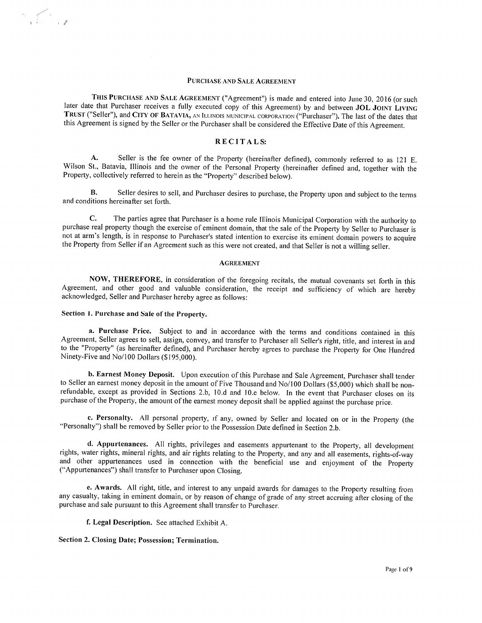#### PURCHASE AND SALE AGREEMENT

THIS PURCHASE AND SALE AGREEMENT ("Agreement") is made and entered into June 30, 2016 (or such later date that Purchaser receives a fully executed copy of this Agreement) by and between JOL JOINT LIVING TRUST ("Seller"), and CITY OF BATAVIA, AN ILLINOIS MUNICIPAL CORPORATION ("Purchaser"). The last of the dates that this Agreement is signed by the Seller or the Purchaser shall be considered the Effective Date of this Agreement.

### RECITALS:

Seller is the fee owner of the Property (hereinafter defined), commonly referred to as 121 E.  $\mathbf{A}$ . Wilson St., Batavia, Illinois and the owner of the Personal Property (hereinafter defined and, together with the Property, collectively referred to herein as the "Property" described below).

**B.** Seller desires to sell, and Purchaser desires to purchase, the Property upon and subject to the terms and conditions hereinafter set forth.

 $C_{\star}$ The parties agree that Purchaser is a home rule Illinois Municipal Corporation with the authority to purchase real property though the exercise of eminent domain, that the sale of the Property by Seller to Purchaser is not at arm's length, is in response to Purchaser's stated intention to exercise its eminent domain powers to acquire the Property from Seller if an Agreement such as this were not created, and that Seller is not a willing seller.

#### **AGREEMENT**

NOW, THEREFORE, in consideration of the foregoing recitals, the mutual covenants set forth in this Agreement, and other good and valuable consideration, the receipt and sufficiency of which are hereby acknowledged, Seller and Purchaser hereby agree as follows:

### Section 1. Purchase and Sale of the Property.

a. Purchase Price. Subject to and in accordance with the terms and conditions contained in this Agreement, Seller agrees to sell, assign, convey, and transfer to Purchaser all Seller's right, title, and interest in and to the "Property" (as hereinafter defined), and Purchaser hereby agrees to purchase the Property for One Hundred Ninety-Five and No/100 Dollars (\$195,000).

b. Earnest Money Deposit. Upon execution of this Purchase and Sale Agreement, Purchaser shall tender to Seller an earnest money deposit in the amount of Five Thousand and No/100 Dollars (\$5,000) which shall be nonrefundable, except as provided in Sections 2.b, 10.d and 10.e below. In the event that Purchaser closes on its purchase of the Property, the amount of the earnest money deposit shall be applied against the purchase price.

c. Personalty. All personal property, if any, owned by Seller and located on or in the Property (the "Personalty") shall be removed by Seller prior to the Possession Date defined in Section 2.b.

d. Appurtenances. All rights, privileges and easements appurtenant to the Property, all development rights, water rights, mineral rights, and air rights relating to the Property, and any and all easements, rights-of-way and other appurtenances used in connection with the beneficial use and enjoyment of the Property ("Appurtenances") shall transfer to Purchaser upon Closing.

e. Awards. All right, title, and interest to any unpaid awards for damages to the Property resulting from any casualty, taking in eminent domain, or by reason of change of grade of any street accruing after closing of the purchase and sale pursuant to this Agreement shall transfer to Purchaser.

f. Legal Description. See attached Exhibit A.

Section 2. Closing Date; Possession; Termination.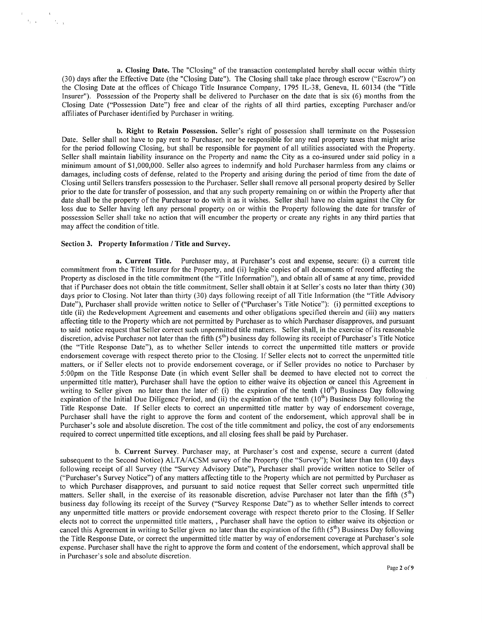a. Closing Date. The "Closing" of the transaction contemplated hereby shall occur within thirty (30) days after the Effective Date (the "Closing Date"). The Closing shall take place through escrow ("Escrow") on the Closing Date at the offices of Chicago Title Insurance Company, 1795 IL-38, Geneva, IL 60134 (the "Title Insurer"). Possession of the Property shall be delivered to Purchaser on the date that is six (6) months from the Closing Date ("Possession Date") free and clear of the rights of all third parties, excepting Purchaser and/or affiliates of Purchaser identified by Purchaser in writing.

b. Right to Retain Possession. Seller's right of possession shall terminate on the Possession Date. Seller shall not have to pay rent to Purchaser, nor be responsible for any real property taxes that might arise for the period following Closing, but shall be responsible for payment of all utilities associated with the Property. Seller shall maintain liability insurance on the Property and name the City as a co-insured under said policy in a minimum amount of \$1,000,000. Seller also agrees to indemnify and hold Purchaser harmless from any claims or damages, including costs of defense, related to the Property and arising during the period of time from the date of Closing until Sellers transfers possession to the Purchaser. Seller shall remove all personal property desired by Seller prior to the date for transfer of possession, and that any such property remaining on or within the Property after that date shall be the property of the Purchaser to do with it as it wishes. Seller shall have no claim against the City for loss due to Seller having left any personal property on or within the Property following the date for transfer of possession Seller shall take no action that will encumber the property or create any rights in any third parties that may affect the condition of title.

#### Section 3. Property Information / Title and Survey.

 $\mathbf{r}_{1\rightarrow\infty}$  , where  $\mathbf{r}_{i\rightarrow1}$ 

a. Current Title. Purchaser may, at Purchaser's cost and expense, secure: (i) a current title commitment from the Title Insurer for the Property, and (ii) legible copies of all documents of record affecting the Property as disclosed in the title commitment (the "Title Information"), and obtain all of same at any time, provided that if Purchaser does not obtain the title commitment, Seller shall obtain it at Seller's costs no later than thirty (30) days prior to Closing. Not later than thirty (30) days following receipt of all Title Information (the "Title Advisory Date"), Purchaser shall provide written notice to Seller of ("Purchaser's Title Notice"): (i) permitted exceptions to title (ii) the Redevelopment Agreement and easements and other obligations specified therein and (iii) any matters affecting title to the Property which are not permitted by Purchaser as to which Purchaser disapproves, and pursuant to said notice request that Seller correct such unpermitted title matters. Seller shall, in the exercise of its reasonable discretion, advise Purchaser not later than the fifth  $(5<sup>th</sup>)$  business day following its receipt of Purchaser's Title Notice (the "Title Response Date"), as to whether Seller intends to correct the unpermitted title matters or provide endorsement coverage with respect thereto prior to the Closing. If Seller elects not to correct the unpermitted title matters, or if Seller elects not to provide endorsement coverage, or if Seller provides no notice to Purchaser by 5:00pm on the Title Response Date (in which event Seller shall be deemed to have elected not to correct the unpermitted title matter). Purchaser shall have the option to either waive its objection or cancel this Agreement in writing to Seller given no later than the later of: (i) the expiration of the tenth  $(10^{th})$  Business Day following expiration of the Initial Due Diligence Period, and (ii) the expiration of the tenth  $(10<sup>th</sup>)$  Business Day following the Title Response Date. If Seller elects to correct an unpermitted title matter by way of endorsement coverage, Purchaser shall have the right to approve the form and content of the endorsement, which approval shall be in Purchaser's sole and absolute discretion. The cost of the title commitment and policy, the cost of any endorsements required to correct unpermitted title exceptions, and all closing fees shall be paid by Purchaser.

b. Current Survey. Purchaser may, at Purchaser's cost and expense, secure a current (dated subsequent to the Second Notice) ALTA/ACSM survey of the Property (the "Survey"); Not later than ten (10) days following receipt of all Survey (the "Survey Advisory Date"), Purchaser shall provide written notice to Seller of ("Purchaser's Survey Notice") of any matters affecting title to the Property which are not permitted by Purchaser as to which Purchaser disapproves, and pursuant to said notice request that Seller correct such unpermitted title matters. Seller shall, in the exercise of its reasonable discretion, advise Purchaser not later than the fifth  $(5<sup>th</sup>)$ business day following its receipt of the Survey ("Survey Response Date") as to whether Seller intends to correct any unpermitted title matters or provide endorsement coverage with respect thereto prior to the Closing. If Seller elects not to correct the unpermitted title matters, , Purchaser shall have the option to either waive its objection or cancel this Agreement in writing to Seller given no later than the expiration of the fifth (5<sup>th</sup>) Business Day following the Title Response Date, or correct the unpermitted title matter by way of endorsement coverage at Purchaser's sole expense. Purchaser shall have the right to approve the form and content of the endorsement, which approval shall be in Purchaser's sole and absolute discretion.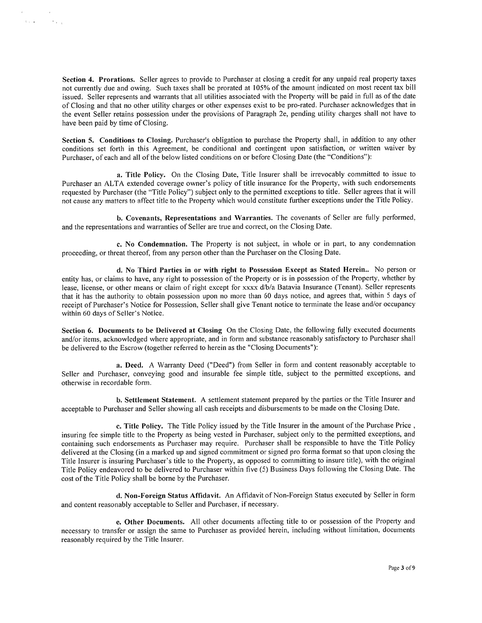Section 4. Prorations. Seller agrees to provide to Purchaser at closing a credit for any unpaid real property taxes not currently due and owing. Such taxes shall be prorated at 105% of the amount indicated on most recent tax bill issued. Seller represents and warrants that all utilities associated with the Property will be paid in full as of the date of Closing and that no other utility charges or other expenses exist to be pro-rated. Purchaser acknowledges that in the event Seller retains possession under the provisions of Paragraph 2e, pending utility charges shall not have to have been paid by time of Closing.

 $\sim$   $\sim$ 

 $\Delta_{\rm 100~meV}$ 

Section 5. Conditions to Closing. Purchaser's obligation to purchase the Property shall, in addition to any other conditions set forth in this Agreement, be conditional and contingent upon satisfaction, or written waiver by Purchaser, of each and all of the below listed conditions on or before Closing Date (the "Conditions"):

a. Title Policy. On the Closing Date, Title Insurer shall be irrevocably committed to issue to Purchaser an ALTA extended coverage owner's policy of title insurance for the Property, with such endorsements requested by Purchaser (the "Title Policy") subject only to the permitted exceptions to title. Seller agrees that it will not cause any matters to affect title to the Property which would constitute further exceptions under the Title Policy.

b. Covenants, Representations and Warranties. The covenants of Seller are fully performed, and the representations and warranties of Seller are true and correct, on the Closing Date.

c. No Condemnation. The Property is not subject, in whole or in part, to any condemnation proceeding, or threat thereof, from any person other than the Purchaser on the Closing Date.

d. No Third Parties in or with right to Possession Except as Stated Herein.. No person or entity has, or claims to have, any right to possession of the Property or is in possession of the Property, whether by lease, license, or other means or claim of right except for xxxx d/b/a Batavia Insurance (Tenant). Seller represents that it has the authority to obtain possession upon no more than 60 days notice, and agrees that, within 5 days of receipt of Purchaser's Notice for Possession, Seller shall give Tenant notice to terminate the lease and/or occupancy within 60 days of Seller's Notice.

Section 6. Documents to be Delivered at Closing On the Closing Date, the following fully executed documents and/or items, acknowledged where appropriate, and in form and substance reasonably satisfactory to Purchaser shall be delivered to the Escrow (together referred to herein as the "Closing Documents"):

a. Deed. A Warranty Deed ("Deed") from Seller in form and content reasonably acceptable to Seller and Purchaser, conveying good and insurable fee simple title, subject to the permitted exceptions, and otherwise in recordable form.

b. Settlement Statement. A settlement statement prepared by the parties or the Title Insurer and acceptable to Purchaser and Seller showing all cash receipts and disbursements to be made on the Closing Date.

c. Title Policy. The Title Policy issued by the Title Insurer in the amount of the Purchase Price, insuring fee simple title to the Property as being vested in Purchaser, subject only to the permitted exceptions, and containing such endorsements as Purchaser may require. Purchaser shall be responsible to have the Title Policy delivered at the Closing (in a marked up and signed commitment or signed pro forma format so that upon closing the Title Insurer is insuring Purchaser's title to the Property, as opposed to committing to insure title), with the original Title Policy endeavored to be delivered to Purchaser within five (5) Business Days following the Closing Date. The cost of the Title Policy shall be borne by the Purchaser.

d. Non-Foreign Status Affidavit. An Affidavit of Non-Foreign Status executed by Seller in form and content reasonably acceptable to Seller and Purchaser, if necessary.

e. Other Documents. All other documents affecting title to or possession of the Property and necessary to transfer or assign the same to Purchaser as provided herein, including without limitation, documents reasonably required by the Title Insurer.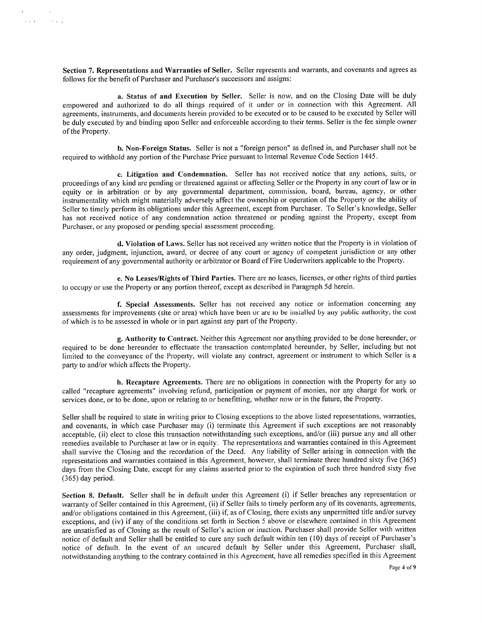Section 7. Representations and Warranties of Seller. Seller represents and warrants, and covenants and agrees as follows for the benefit of Purchaser and Purchaser's successors and assigns:

 $\sim 10$ 

 $\sim 10^{-1}$ 

 $\sqrt{1-\sqrt{3}}$ 

a. Status of and Execution by Seller. Seller is now, and on the Closing Date will be duly empowered and authorized to do all things required of it under or in connection with this Agreement. All agreements, instruments, and documents herein provided to be executed or to be caused to be executed by Seller will be duly executed by and binding upon Seller and enforceable according to their terms. Seller is the fee simple owner of the Property.

b. Non-Foreign Status. Seller is not a "foreign person" as defined in, and Purchaser shall not be required to withhold any portion of the Purchase Price pursuant to Internal Revenue Code Section 1445.

c. Litigation and Condemnation. Seller has not received notice that any actions, suits, or proceedings of any kind are pending or threatened against or affecting Seller or the Property in any court of law or in equity or in arbitration or by any governmental department, commission, board, bureau, agency, or other instrumentality which might materially adversely affect the ownership or operation of the Property or the ability of Seller to timely perform its obligations under this Agreement, except from Purchaser. To Seller's knowledge, Seller has not received notice of any condemnation action threatened or pending against the Property, except from Purchaser, or any proposed or pending special assessment proceeding.

d. Violation of Laws. Seller has not received any written notice that the Property is in violation of any order, judgment, injunction, award, or decree of any court or agency of competent jurisdiction or any other requirement of any governmental authority or arbitrator or Board of Fire Underwriters applicable to the Property.

e. No Leases/Rights of Third Parties. There are no leases, licenses, or other rights of third parties to occupy or use the Property or any portion thereof, except as described in Paragraph 5d herein.

f. Special Assessments. Seller has not received any notice or information concerning any assessments for improvements (site or area) which have been or are to be installed by any public authority, the cost of which is to be assessed in whole or in part against any part of the Property.

g. Authority to Contract. Neither this Agreement nor anything provided to be done hereunder, or required to be done hereunder to effectuate the transaction contemplated hereunder, by Seller, including but not limited to the conveyance of the Property, will violate any contract, agreement or instrument to which Seller is a party to and/or which affects the Property.

h. Recapture Agreements. There are no obligations in connection with the Property for any so called "recapture agreements" involving refund, participation or payment of monies, nor any charge for work or services done, or to be done, upon or relating to or benefitting, whether now or in the future, the Property.

Seller shall be required to state in writing prior to Closing exceptions to the above listed representations, warranties, and covenants, in which case Purchaser may (i) terminate this Agreement if such exceptions are not reasonably acceptable, (ii) elect to close this transaction notwithstanding such exceptions, and/or (iii) pursue any and all other remedies available to Purchaser at law or in equity. The representations and warranties contained in this Agreement shall survive the Closing and the recordation of the Deed. Any liability of Seller arising in connection with the representations and warranties contained in this Agreement, however, shall terminate three hundred sixty five (365) days from the Closing Date, except for any claims asserted prior to the expiration of such three hundred sixty five  $(365)$  day period.

Section 8. Default. Seller shall be in default under this Agreement (i) if Seller breaches any representation or warranty of Seller contained in this Agreement, (ii) if Seller fails to timely perform any of its covenants, agreements, and/or obligations contained in this Agreement, (iii) if, as of Closing, there exists any unpermitted title and/or survey exceptions, and (iv) if any of the conditions set forth in Section 5 above or elsewhere contained in this Agreement are unsatisfied as of Closing as the result of Seller's action or inaction. Purchaser shall provide Seller with written notice of default and Seller shall be entitled to cure any such default within ten (10) days of receipt of Purchaser's notice of default. In the event of an uncured default by Seller under this Agreement, Purchaser shall, notwithstanding anything to the contrary contained in this Agreement, have all remedies specified in this Agreement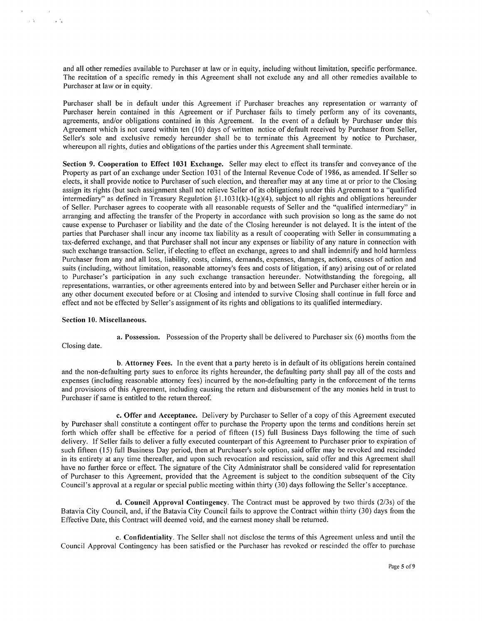and all other remedies available to Purchaser at law or in equity, including without limitation, specific performance. The recitation of a specific remedy in this Agreement shall not exclude any and all other remedies available to Purchaser at law or in equity.

Purchaser shall be in default under this Agreement if Purchaser breaches any representation or warranty of Purchaser herein contained in this Agreement or if Purchaser fails to timely perform any of its covenants, agreements, and/or obligations contained in this Agreement. In the event of a default by Purchaser under this Agreement which is not cured within ten (10) days of written notice of default received by Purchaser from Seller, Seller's sole and exclusive remedy hereunder shall be to terminate this Agreement by notice to Purchaser, whereupon all rights, duties and obligations of the parties under this Agreement shall terminate.

Section 9. Cooperation to Effect 1031 Exchange. Seller may elect to effect its transfer and conveyance of the Property as part of an exchange under Section 1031 of the Internal Revenue Code of 1986, as amended. If Seller so elects, it shall provide notice to Purchaser of such election, and thereafter may at any time at or prior to the Closing assign its rights (but such assignment shall not relieve Seller of its obligations) under this Agreement to a "qualified intermediary" as defined in Treasury Regulation  $\S1.1031(k)-1(g)(4)$ , subject to all rights and obligations hereunder of Seller. Purchaser agrees to cooperate with all reasonable requests of Seller and the "qualified intermediary" in arranging and affecting the transfer of the Property in accordance with such provision so long as the same do not cause expense to Purchaser or liability and the date of the Closing hereunder is not delayed. It is the intent of the parties that Purchaser shall incur any income tax liability as a result of cooperating with Seller in consummating a tax-deferred exchange, and that Purchaser shall not incur any expenses or liability of any nature in connection with such exchange transaction. Seller, if electing to effect an exchange, agrees to and shall indemnify and hold harmless Purchaser from any and all loss, liability, costs, claims, demands, expenses, damages, actions, causes of action and suits (including, without limitation, reasonable attorney's fees and costs of litigation, if any) arising out of or related to Purchaser's participation in any such exchange transaction hereunder. Notwithstanding the foregoing, all representations, warranties, or other agreements entered into by and between Seller and Purchaser either herein or in any other document executed before or at Closing and intended to survive Closing shall continue in full force and effect and not be effected by Seller's assignment of its rights and obligations to its qualified intermediary.

#### Section 10. Miscellaneous.

 $\sqrt{3}$ 

 $\sim$   $^{-1}$   $_{\rm X}$ 

a. Possession. Possession of the Property shall be delivered to Purchaser six (6) months from the

Closing date.

b. Attorney Fees. In the event that a party hereto is in default of its obligations herein contained and the non-defaulting party sues to enforce its rights hereunder, the defaulting party shall pay all of the costs and expenses (including reasonable attorney fees) incurred by the non-defaulting party in the enforcement of the terms and provisions of this Agreement, including causing the return and disbursement of the any monies held in trust to Purchaser if same is entitled to the return thereof.

c. Offer and Acceptance. Delivery by Purchaser to Seller of a copy of this Agreement executed by Purchaser shall constitute a contingent offer to purchase the Property upon the terms and conditions herein set forth which offer shall be effective for a period of fifteen (15) full Business Days following the time of such delivery. If Seller fails to deliver a fully executed counterpart of this Agreement to Purchaser prior to expiration of such fifteen (15) full Business Day period, then at Purchaser's sole option, said offer may be revoked and rescinded in its entirety at any time thereafter, and upon such revocation and rescission, said offer and this Agreement shall have no further force or effect. The signature of the City Administrator shall be considered valid for representation of Purchaser to this Agreement, provided that the Agreement is subject to the condition subsequent of the City Council's approval at a regular or special public meeting within thirty (30) days following the Seller's acceptance.

d. Council Approval Contingency. The Contract must be approved by two thirds  $(2/3s)$  of the Batavia City Council, and, if the Batavia City Council fails to approve the Contract within thirty (30) days from the Effective Date, this Contract will deemed void, and the earnest money shall be returned.

e. Confidentiality. The Seller shall not disclose the terms of this Agreement unless and until the Council Approval Contingency has been satisfied or the Purchaser has revoked or rescinded the offer to purchase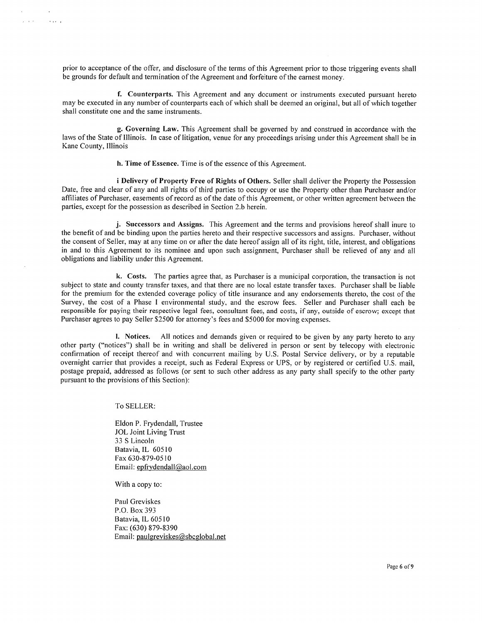prior to acceptance of the offer, and disclosure of the terms of this Agreement prior to those triggering events shall be grounds for default and termination of the Agreement and forfeiture of the earnest money.

f. Counterparts. This Agreement and any document or instruments executed pursuant hereto may be executed in any number of counterparts each of which shall be deemed an original, but all of which together shall constitute one and the same instruments.

g. Governing Law. This Agreement shall be governed by and construed in accordance with the laws of the State of Illinois. In case of litigation, venue for any proceedings arising under this Agreement shall be in Kane County, Illinois

h. Time of Essence. Time is of the essence of this Agreement.

i Delivery of Property Free of Rights of Others. Seller shall deliver the Property the Possession Date, free and clear of any and all rights of third parties to occupy or use the Property other than Purchaser and/or affiliates of Purchaser, easements of record as of the date of this Agreement, or other written agreement between the parties, except for the possession as described in Section 2.b herein.

j. Successors and Assigns. This Agreement and the terms and provisions hereof shall inure to the benefit of and be binding upon the parties hereto and their respective successors and assigns. Purchaser, without the consent of Seller, may at any time on or after the date hereof assign all of its right, title, interest, and obligations in and to this Agreement to its nominee and upon such assignment, Purchaser shall be relieved of any and all obligations and liability under this Agreement.

k. Costs. The parties agree that, as Purchaser is a municipal corporation, the transaction is not subject to state and county transfer taxes, and that there are no local estate transfer taxes. Purchaser shall be liable for the premium for the extended coverage policy of title insurance and any endorsements thereto, the cost of the Survey, the cost of a Phase I environmental study, and the escrow fees. Seller and Purchaser shall each be responsible for paying their respective legal fees, consultant fees, and costs, if any, outside of escrow; except that Purchaser agrees to pay Seller \$2500 for attorney's fees and \$5000 for moving expenses.

l. Notices. All notices and demands given or required to be given by any party hereto to any other party ("notices") shall be in writing and shall be delivered in person or sent by telecopy with electronic confirmation of receipt thereof and with concurrent mailing by U.S. Postal Service delivery, or by a reputable overnight carrier that provides a receipt, such as Federal Express or UPS, or by registered or certified U.S. mail, postage prepaid, addressed as follows (or sent to such other address as any party shall specify to the other party pursuant to the provisions of this Section):

To SELLER:

 $\sqrt{1-x^2}$  is

 $\lambda$  ,  $\lambda$  ,  $\lambda$ 

Eldon P. Frydendall, Trustee **JOL Joint Living Trust** 33 S Lincoln Batavia, IL 60510 Fax 630-879-0510 Email: epfrydendall@aol.com

With a copy to:

Paul Greviskes P.O. Box 393 Batavia, IL 60510 Fax: (630) 879-8390 Email: paulgreviskes@sbcglobal.net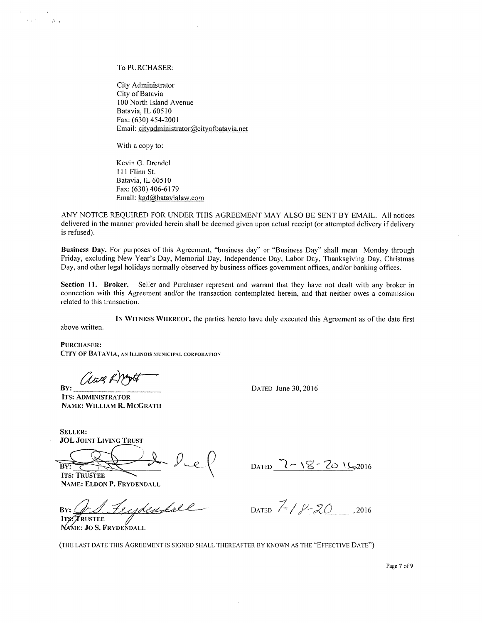#### To PURCHASER:

 $\chi_{\rm c} \chi^{-1}$ 

 $\Delta \sim$ 

City Administrator City of Batavia 100 North Island Avenue Batavia, IL 60510 Fax: (630) 454-2001 Email: cityadministrator@cityofbatavia.net

With a copy to:

Kevin G. Drendel 111 Flinn St. Batavia, IL 60510 Fax: (630) 406-6179 Email: kgd@batavialaw.com

ANY NOTICE REQUIRED FOR UNDER THIS AGREEMENT MAY ALSO BE SENT BY EMAIL. All notices delivered in the manner provided herein shall be deemed given upon actual receipt (or attempted delivery if delivery is refused).

Business Day. For purposes of this Agreement, "business day" or "Business Day" shall mean Monday through Friday, excluding New Year's Day, Memorial Day, Independence Day, Labor Day, Thanksgiving Day, Christmas Day, and other legal holidays normally observed by business offices government offices, and/or banking offices.

Section 11. Broker. Seller and Purchaser represent and warrant that they have not dealt with any broker in connection with this Agreement and/or the transaction contemplated herein, and that neither owes a commission related to this transaction.

IN WITNESS WHEREOF, the parties hereto have duly executed this Agreement as of the date first above written.

PURCHASER: CITY OF BATAVIA, AN ILLINOIS MUNICIPAL CORPORATION

aug R BY:

**ITS: ADMINISTRATOR** NAME: WILLIAM R. MCGRATH

DATED June 30, 2016

**SELLER: JOL JOINT LIVING TRUST** 

 $\overrightarrow{BY:}$ 

**ITS: TRUSTEE** NAME: ELDON P. FRYDENDALL

sdendall BY: **T**rustee

NAME: JO S. FRYDENDALL

DATED  $2 - 18 - 2016$ 

DATED  $7 - 18 - 20$ .2016

(THE LAST DATE THIS AGREEMENT IS SIGNED SHALL THEREAFTER BY KNOWN AS THE "EFFECTIVE DATE")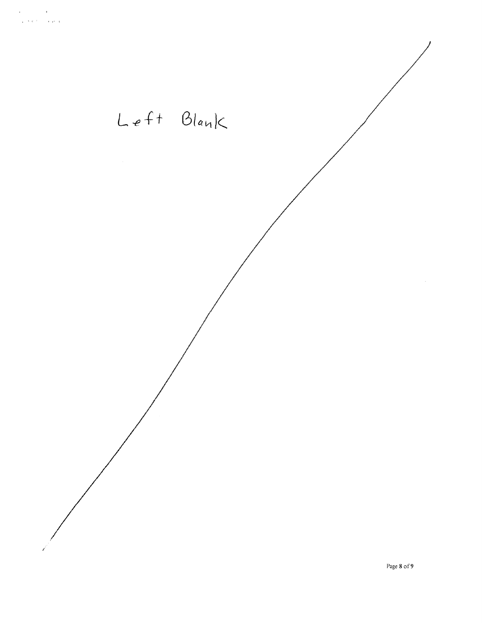Left Blank